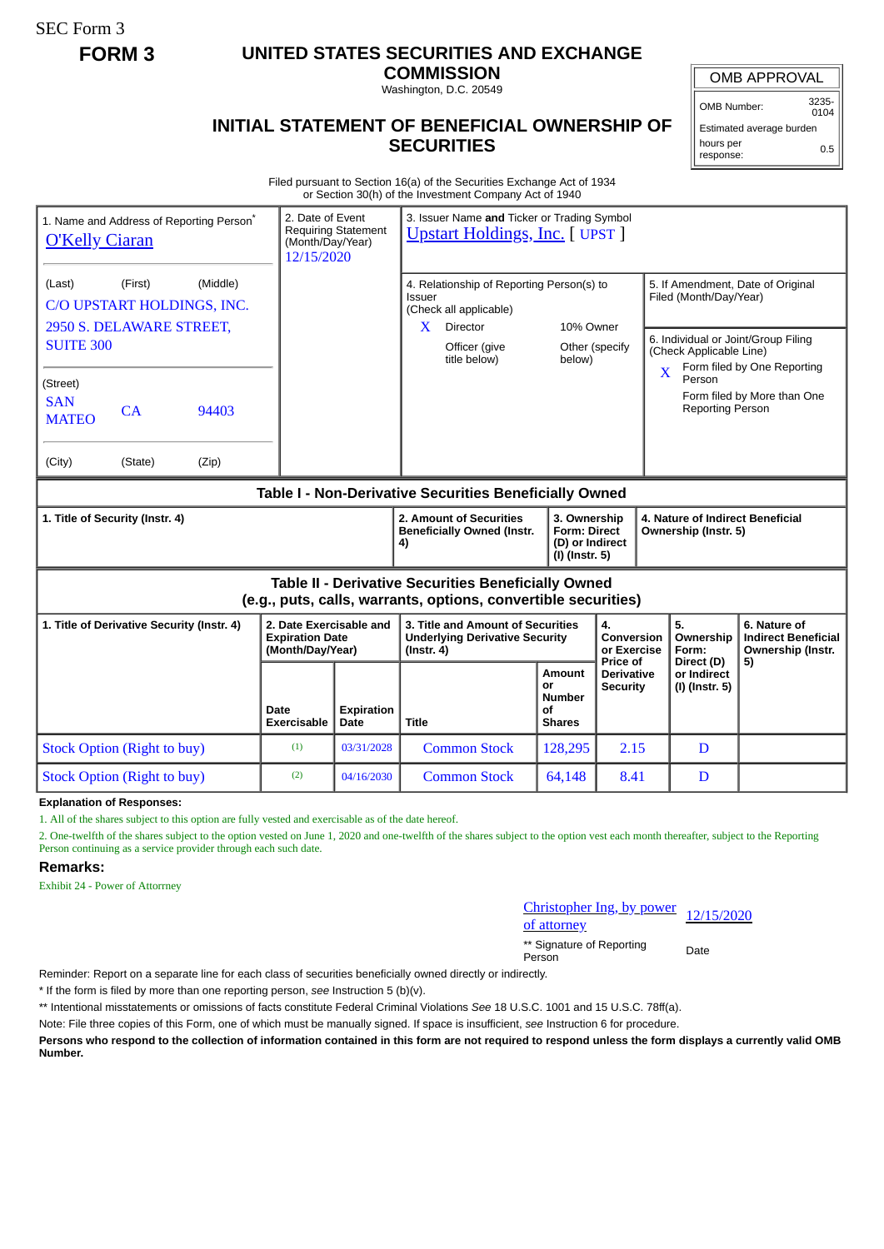SEC Form 3

## **FORM 3 UNITED STATES SECURITIES AND EXCHANGE**

**COMMISSION** Washington, D.C. 20549

## **INITIAL STATEMENT OF BENEFICIAL OWNERSHIP OF SECURITIES**

OMB APPROVAL

OMB Number: 3235-  $0104$ 

Estimated average burden hours per response: 0.5

Filed pursuant to Section 16(a) of the Securities Exchange Act of 1934 or Section 30(h) of the Investment Company Act of 1940

| <b>O'Kelly Ciaran</b>                                                                                                        | 1. Name and Address of Reporting Person <sup>®</sup> |       | 3. Issuer Name and Ticker or Trading Symbol<br>2. Date of Event<br><b>Requiring Statement</b><br><b>Upstart Holdings, Inc. [ UPST ]</b><br>(Month/Day/Year)<br>12/15/2020 |                           |                                                                                                                                         |                                                                          |                                                  |                                                          |                                                                                                                                                              |                                                                 |  |
|------------------------------------------------------------------------------------------------------------------------------|------------------------------------------------------|-------|---------------------------------------------------------------------------------------------------------------------------------------------------------------------------|---------------------------|-----------------------------------------------------------------------------------------------------------------------------------------|--------------------------------------------------------------------------|--------------------------------------------------|----------------------------------------------------------|--------------------------------------------------------------------------------------------------------------------------------------------------------------|-----------------------------------------------------------------|--|
| (Middle)<br>(First)<br>(Last)<br>C/O UPSTART HOLDINGS, INC.<br>2950 S. DELAWARE STREET,<br><b>SUITE 300</b>                  |                                                      |       |                                                                                                                                                                           |                           | 4. Relationship of Reporting Person(s) to<br>Issuer<br>(Check all applicable)<br><b>Director</b><br>X.<br>Officer (give<br>title below) | 10% Owner<br>Other (specify<br>below)                                    |                                                  |                                                          | 5. If Amendment, Date of Original<br>Filed (Month/Day/Year)<br>6. Individual or Joint/Group Filing<br>(Check Applicable Line)<br>Form filed by One Reporting |                                                                 |  |
| (Street)<br><b>SAN</b><br><b>MATEO</b>                                                                                       | CA                                                   | 94403 |                                                                                                                                                                           |                           |                                                                                                                                         |                                                                          |                                                  | $\overline{\mathbf{X}}$                                  | Person<br><b>Reporting Person</b>                                                                                                                            | Form filed by More than One                                     |  |
| (City)                                                                                                                       | (State)                                              | (Zip) |                                                                                                                                                                           |                           |                                                                                                                                         |                                                                          |                                                  |                                                          |                                                                                                                                                              |                                                                 |  |
| Table I - Non-Derivative Securities Beneficially Owned                                                                       |                                                      |       |                                                                                                                                                                           |                           |                                                                                                                                         |                                                                          |                                                  |                                                          |                                                                                                                                                              |                                                                 |  |
| 1. Title of Security (Instr. 4)                                                                                              |                                                      |       |                                                                                                                                                                           |                           | 2. Amount of Securities<br><b>Beneficially Owned (Instr.</b><br>4)                                                                      | 3. Ownership<br><b>Form: Direct</b><br>(D) or Indirect<br>(I) (Instr. 5) |                                                  | 4. Nature of Indirect Beneficial<br>Ownership (Instr. 5) |                                                                                                                                                              |                                                                 |  |
| <b>Table II - Derivative Securities Beneficially Owned</b><br>(e.g., puts, calls, warrants, options, convertible securities) |                                                      |       |                                                                                                                                                                           |                           |                                                                                                                                         |                                                                          |                                                  |                                                          |                                                                                                                                                              |                                                                 |  |
| 1. Title of Derivative Security (Instr. 4)                                                                                   |                                                      |       | 2. Date Exercisable and<br><b>Expiration Date</b><br>(Month/Day/Year)                                                                                                     |                           | 3. Title and Amount of Securities<br><b>Underlying Derivative Security</b><br>$($ lnstr. 4 $)$                                          |                                                                          | 4.<br><b>Conversion</b><br>or Exercise           |                                                          | 5.<br>Ownership<br>Form:                                                                                                                                     | 6. Nature of<br><b>Indirect Beneficial</b><br>Ownership (Instr. |  |
|                                                                                                                              |                                                      |       | Date<br>Exercisable                                                                                                                                                       | <b>Expiration</b><br>Date | <b>Title</b>                                                                                                                            | Amount<br>or<br><b>Number</b><br>οf<br><b>Shares</b>                     | Price of<br><b>Derivative</b><br><b>Security</b> |                                                          | Direct (D)<br>or Indirect<br>(I) (Instr. 5)                                                                                                                  | 5)                                                              |  |
| <b>Stock Option (Right to buy)</b>                                                                                           |                                                      |       | (1)                                                                                                                                                                       | 03/31/2028                | <b>Common Stock</b>                                                                                                                     | 128,295                                                                  | 2.15                                             |                                                          | D                                                                                                                                                            |                                                                 |  |
| <b>Stock Option (Right to buy)</b>                                                                                           |                                                      | (2)   | 04/16/2030                                                                                                                                                                | <b>Common Stock</b>       | 64,148                                                                                                                                  | 8.41                                                                     |                                                  | D                                                        |                                                                                                                                                              |                                                                 |  |

**Explanation of Responses:**

1. All of the shares subject to this option are fully vested and exercisable as of the date hereof.

2. One-twelfth of the shares subject to the option vested on June 1, 2020 and one-twelfth of the shares subject to the option vest each month thereafter, subject to the Reporting Person continuing as a service provider through each such date.

## **Remarks:**

Exhibit 24 - Power of Attorrney

Christopher Ing, by power<br>of attorney

\*\* Signature of Reporting Person Date

Reminder: Report on a separate line for each class of securities beneficially owned directly or indirectly.

\* If the form is filed by more than one reporting person, *see* Instruction 5 (b)(v).

\*\* Intentional misstatements or omissions of facts constitute Federal Criminal Violations *See* 18 U.S.C. 1001 and 15 U.S.C. 78ff(a).

Note: File three copies of this Form, one of which must be manually signed. If space is insufficient, *see* Instruction 6 for procedure.

**Persons who respond to the collection of information contained in this form are not required to respond unless the form displays a currently valid OMB Number.**